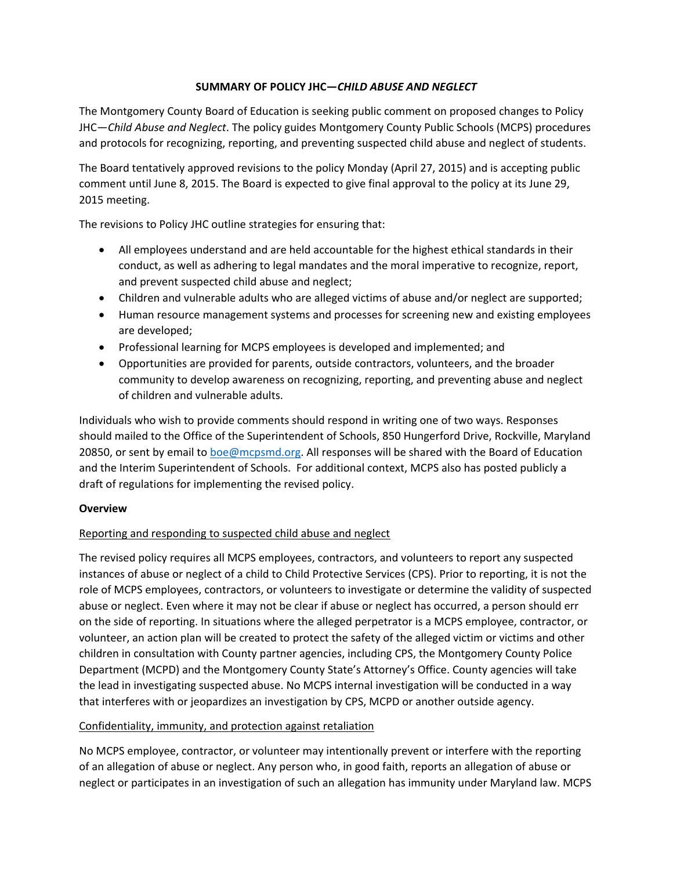# **SUMMARY OF POLICY JHC—***CHILD ABUSE AND NEGLECT*

The Montgomery County Board of Education is seeking public comment on proposed changes to Policy JHC—*Child Abuse and Neglect*. The policy guides Montgomery County Public Schools (MCPS) procedures and protocols for recognizing, reporting, and preventing suspected child abuse and neglect of students.

The Board tentatively approved revisions to the policy Monday (April 27, 2015) and is accepting public comment until June 8, 2015. The Board is expected to give final approval to the policy at its June 29, 2015 meeting.

The revisions to Policy JHC outline strategies for ensuring that:

- All employees understand and are held accountable for the highest ethical standards in their conduct, as well as adhering to legal mandates and the moral imperative to recognize, report, and prevent suspected child abuse and neglect;
- Children and vulnerable adults who are alleged victims of abuse and/or neglect are supported;
- Human resource management systems and processes for screening new and existing employees are developed;
- Professional learning for MCPS employees is developed and implemented; and
- Opportunities are provided for parents, outside contractors, volunteers, and the broader community to develop awareness on recognizing, reporting, and preventing abuse and neglect of children and vulnerable adults.

Individuals who wish to provide comments should respond in writing one of two ways. Responses should mailed to the Office of the Superintendent of Schools, 850 Hungerford Drive, Rockville, Maryland 20850, or sent by email to boe@mcpsmd.org. All responses will be shared with the Board of Education and the Interim Superintendent of Schools. For additional context, MCPS also has posted publicly a draft of regulations for implementing the revised policy.

# **Overview**

# Reporting and responding to suspected child abuse and neglect

The revised policy requires all MCPS employees, contractors, and volunteers to report any suspected instances of abuse or neglect of a child to Child Protective Services (CPS). Prior to reporting, it is not the role of MCPS employees, contractors, or volunteers to investigate or determine the validity of suspected abuse or neglect. Even where it may not be clear if abuse or neglect has occurred, a person should err on the side of reporting. In situations where the alleged perpetrator is a MCPS employee, contractor, or volunteer, an action plan will be created to protect the safety of the alleged victim or victims and other children in consultation with County partner agencies, including CPS, the Montgomery County Police Department (MCPD) and the Montgomery County State's Attorney's Office. County agencies will take the lead in investigating suspected abuse. No MCPS internal investigation will be conducted in a way that interferes with or jeopardizes an investigation by CPS, MCPD or another outside agency.

#### Confidentiality, immunity, and protection against retaliation

No MCPS employee, contractor, or volunteer may intentionally prevent or interfere with the reporting of an allegation of abuse or neglect. Any person who, in good faith, reports an allegation of abuse or neglect or participates in an investigation of such an allegation has immunity under Maryland law. MCPS